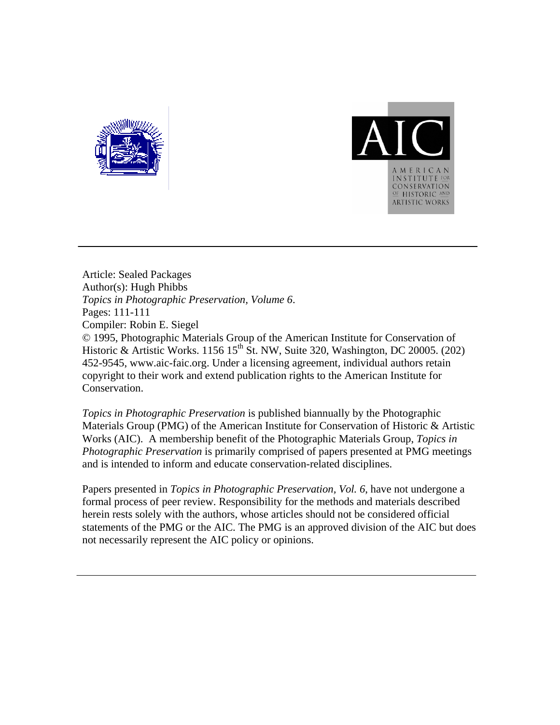



Article: Sealed Packages Author(s): Hugh Phibbs *Topics in Photographic Preservation, Volume 6*. Pages: 111-111 Compiler: Robin E. Siegel © 1995, Photographic Materials Group of the American Institute for Conservation of Historic & Artistic Works. 1156 15<sup>th</sup> St. NW, Suite 320, Washington, DC 20005. (202) 452-9545, www.aic-faic.org. Under a licensing agreement, individual authors retain copyright to their work and extend publication rights to the American Institute for Conservation.

*Topics in Photographic Preservation* is published biannually by the Photographic Materials Group (PMG) of the American Institute for Conservation of Historic & Artistic Works (AIC). A membership benefit of the Photographic Materials Group, *Topics in Photographic Preservation* is primarily comprised of papers presented at PMG meetings and is intended to inform and educate conservation-related disciplines.

Papers presented in *Topics in Photographic Preservation, Vol. 6*, have not undergone a formal process of peer review. Responsibility for the methods and materials described herein rests solely with the authors, whose articles should not be considered official statements of the PMG or the AIC. The PMG is an approved division of the AIC but does not necessarily represent the AIC policy or opinions.